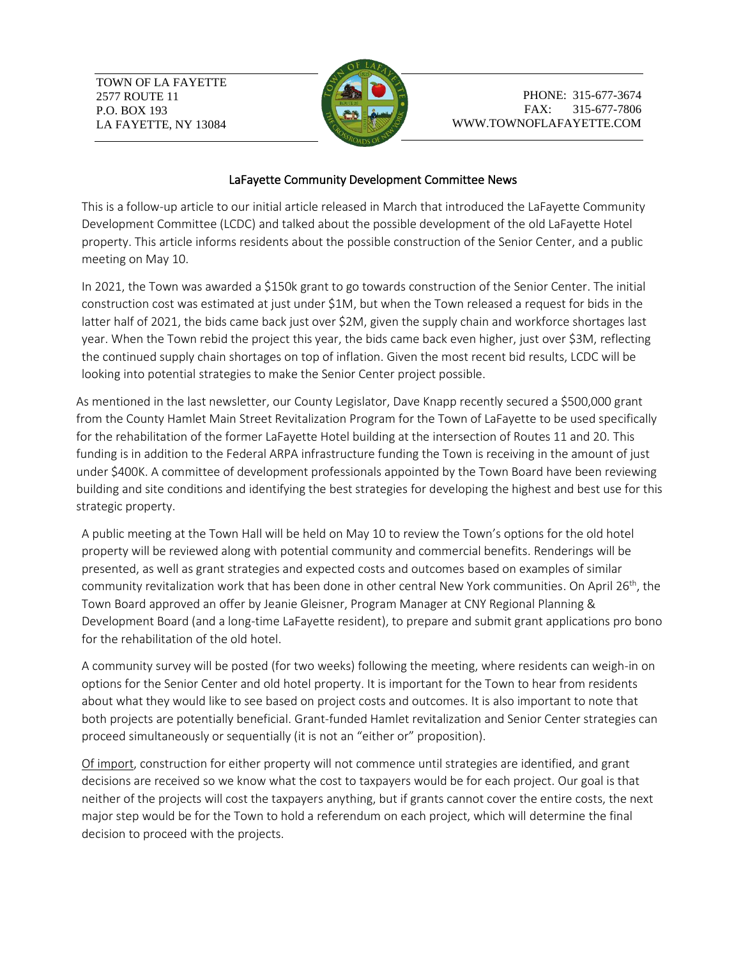TOWN OF LA FAYETTE 2577 ROUTE 11 P.O. BOX 193 LA FAYETTE, NY 13084



PHONE: 315-677-3674 FAX: 315-677-7806 WWW.TOWNOFLAFAYETTE.COM

## LaFayette Community Development Committee News

This is a follow-up article to our initial article released in March that introduced the LaFayette Community Development Committee (LCDC) and talked about the possible development of the old LaFayette Hotel property. This article informs residents about the possible construction of the Senior Center, and a public meeting on May 10.

In 2021, the Town was awarded a \$150k grant to go towards construction of the Senior Center. The initial construction cost was estimated at just under \$1M, but when the Town released a request for bids in the latter half of 2021, the bids came back just over \$2M, given the supply chain and workforce shortages last year. When the Town rebid the project this year, the bids came back even higher, just over \$3M, reflecting the continued supply chain shortages on top of inflation. Given the most recent bid results, LCDC will be looking into potential strategies to make the Senior Center project possible.

As mentioned in the last newsletter, our County Legislator, Dave Knapp recently secured a \$500,000 grant from the County Hamlet Main Street Revitalization Program for the Town of LaFayette to be used specifically for the rehabilitation of the former LaFayette Hotel building at the intersection of Routes 11 and 20. This funding is in addition to the Federal ARPA infrastructure funding the Town is receiving in the amount of just under \$400K. A committee of development professionals appointed by the Town Board have been reviewing building and site conditions and identifying the best strategies for developing the highest and best use for this strategic property.

A public meeting at the Town Hall will be held on May 10 to review the Town's options for the old hotel property will be reviewed along with potential community and commercial benefits. Renderings will be presented, as well as grant strategies and expected costs and outcomes based on examples of similar community revitalization work that has been done in other central New York communities. On April 26<sup>th</sup>, the Town Board approved an offer by Jeanie Gleisner, Program Manager at CNY Regional Planning & Development Board (and a long-time LaFayette resident), to prepare and submit grant applications pro bono for the rehabilitation of the old hotel.

A community survey will be posted (for two weeks) following the meeting, where residents can weigh-in on options for the Senior Center and old hotel property. It is important for the Town to hear from residents about what they would like to see based on project costs and outcomes. It is also important to note that both projects are potentially beneficial. Grant-funded Hamlet revitalization and Senior Center strategies can proceed simultaneously or sequentially (it is not an "either or" proposition).

Of import, construction for either property will not commence until strategies are identified, and grant decisions are received so we know what the cost to taxpayers would be for each project. Our goal is that neither of the projects will cost the taxpayers anything, but if grants cannot cover the entire costs, the next major step would be for the Town to hold a referendum on each project, which will determine the final decision to proceed with the projects.